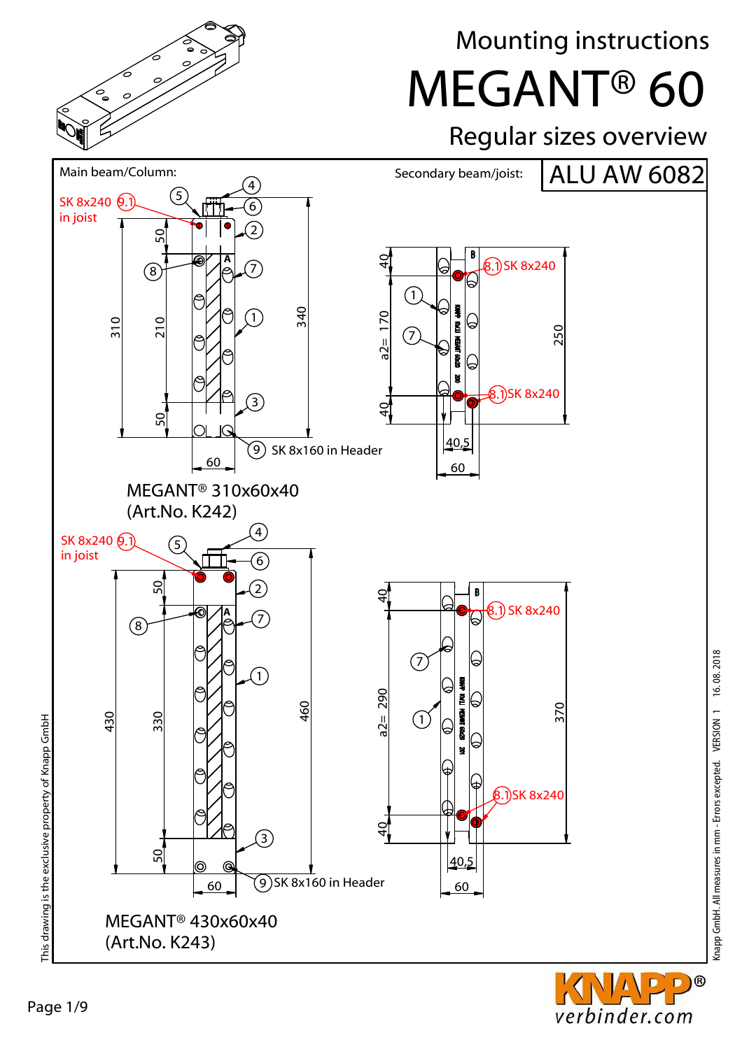

Mounting instructions

MEGANT® 60

## Regular sizes overview



D)®

verbinder.com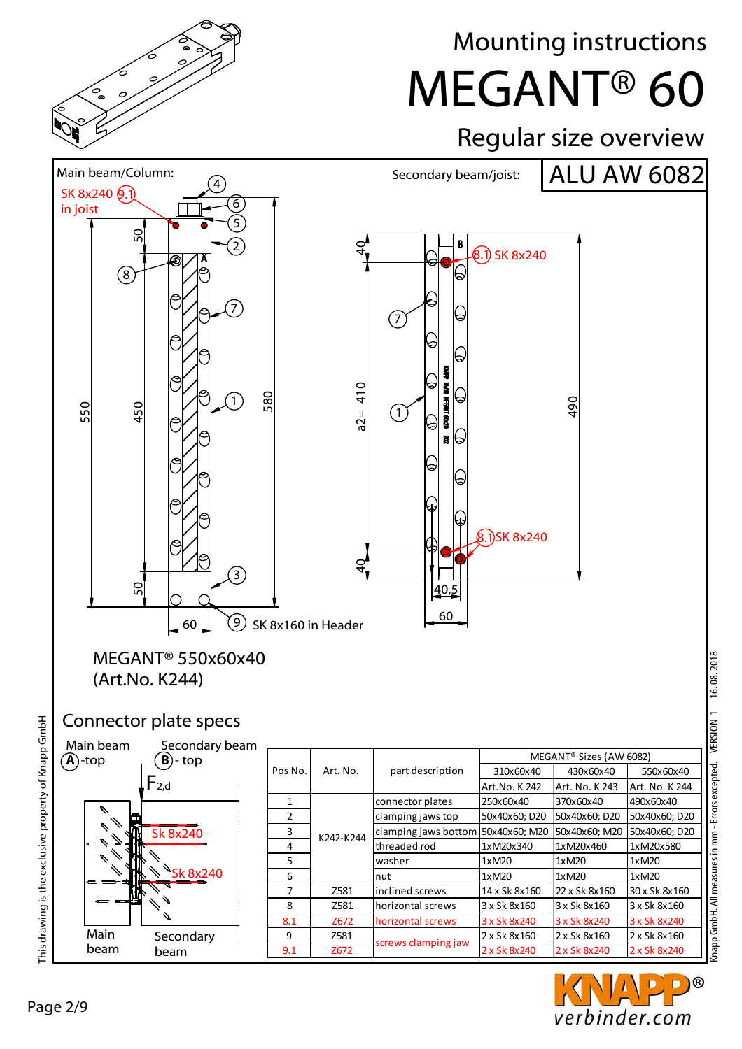

# Mounting instructions

MEGANT® 60

# Regular size overview



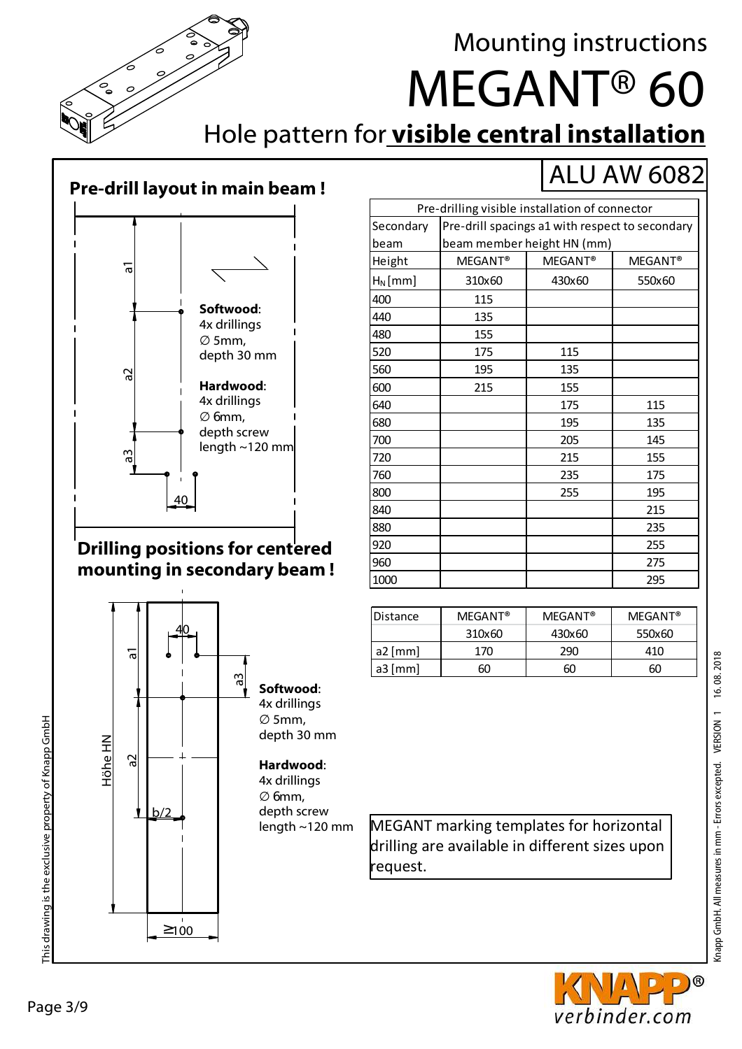

This drawing is the exclusive property of Knapp GmbH

This drawing is the exclusive property of Knapp GmbH

# Mounting instructions

ALU AW 6082

# MEGANT® 60

Hole pattern for **visible central installation**

#### **Pre-drill layout in main beam !**



#### **Drilling positions for centered mounting in secondary beam !**



| Pre-drilling visible installation of connector |                                                 |                     |                     |  |
|------------------------------------------------|-------------------------------------------------|---------------------|---------------------|--|
| Secondary                                      | Pre-drill spacings a1 with respect to secondary |                     |                     |  |
| beam                                           | beam member height HN (mm)                      |                     |                     |  |
| Height                                         | MEGANT <sup>®</sup>                             | MEGANT <sup>®</sup> | MEGANT <sup>®</sup> |  |
| $H_N$ [mm]                                     | 310x60                                          | 430x60              | 550x60              |  |
| 400                                            | 115                                             |                     |                     |  |
| 440                                            | 135                                             |                     |                     |  |
| 480                                            | 155                                             |                     |                     |  |
| 520                                            | 175                                             | 115                 |                     |  |
| 560                                            | 195                                             | 135                 |                     |  |
| 600                                            | 215                                             | 155                 |                     |  |
| 640                                            |                                                 | 175                 | 115                 |  |
| 680                                            |                                                 | 195                 | 135                 |  |
| 700                                            |                                                 | 205                 | 145                 |  |
| 720                                            |                                                 | 215                 | 155                 |  |
| 760                                            |                                                 | 235                 | 175                 |  |
| 800                                            |                                                 | 255                 | 195                 |  |
| 840                                            |                                                 |                     | 215                 |  |
| 880                                            |                                                 |                     | 235                 |  |
| 920                                            |                                                 |                     | 255                 |  |
| 960                                            |                                                 |                     | 275                 |  |
| 1000                                           |                                                 |                     | 295                 |  |

| Distance  | <b>MEGANT®</b> | <b>MEGANT®</b> | $MFGANT^{\circledR}$ |
|-----------|----------------|----------------|----------------------|
|           | 310x60         | 430x60         | 550x60               |
| $a2$ [mm] | 170            | 290            | 410                  |
| $a3$ [mm] | 60             | 60             | 60                   |
|           |                |                |                      |

length ~120 mm MEGANT marking templates for horizontal drilling are available in different sizes upon request.





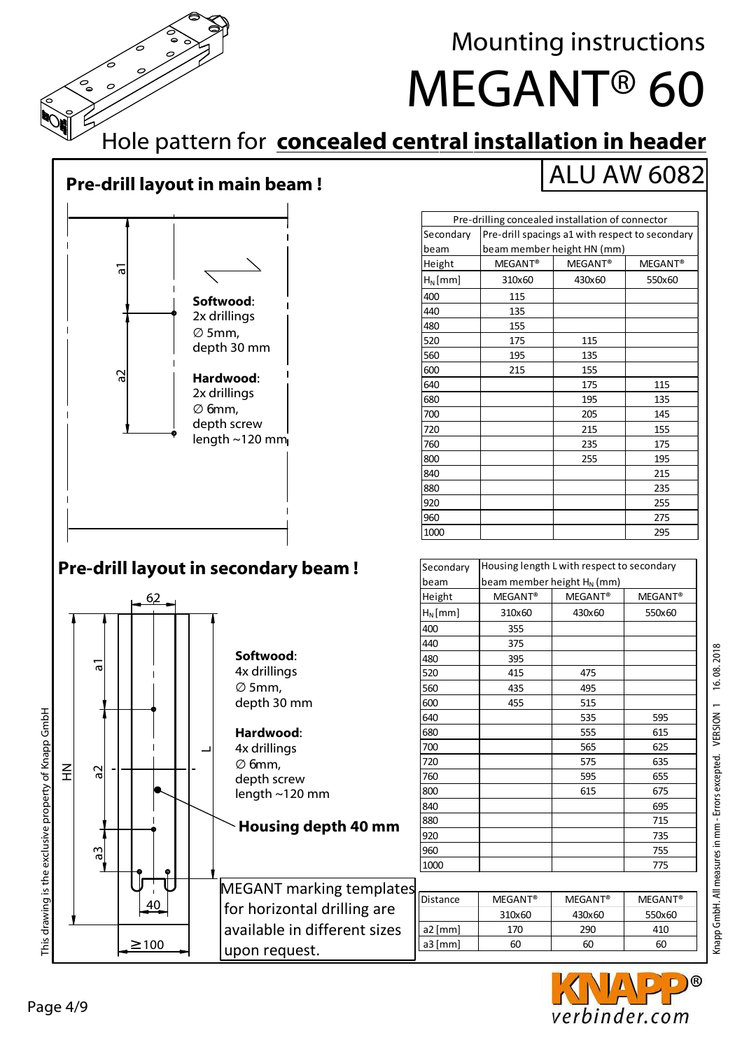

Mounting instructions

ALU AW 6082

MEGANT® 60

### Hole pattern for **concealed central installation in header**

### **Pre-drill layout in main beam !**



#### **Pre-drill layout in secondary beam !**



Secondary



Housing length L with respect to secondary

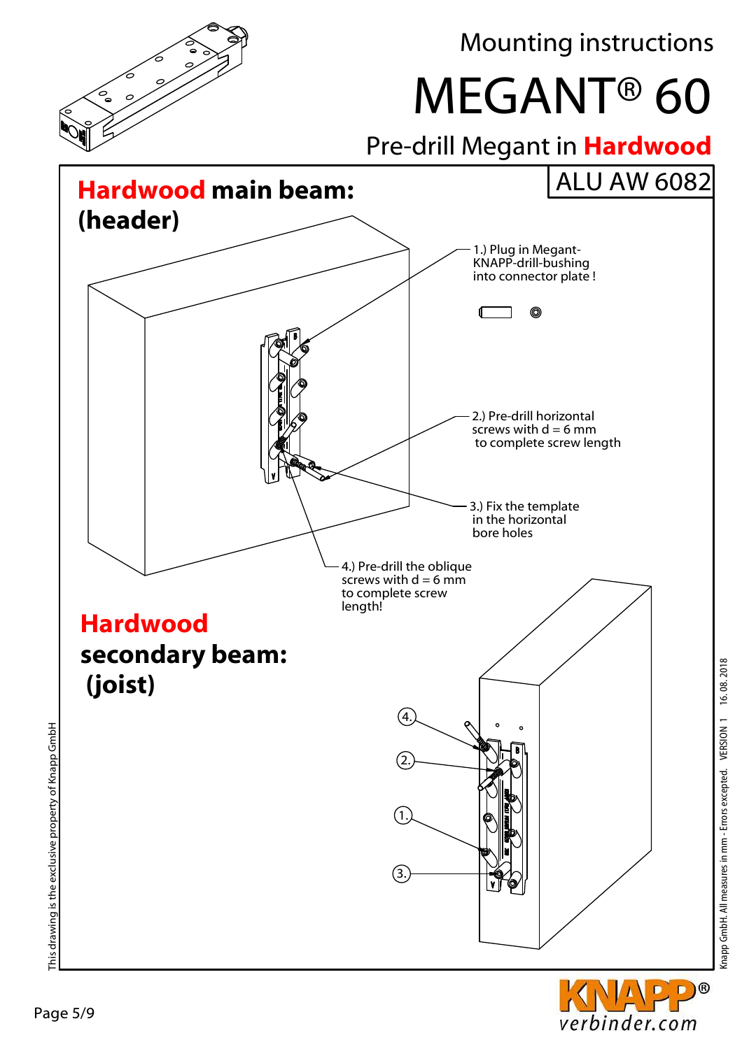

verbinder.com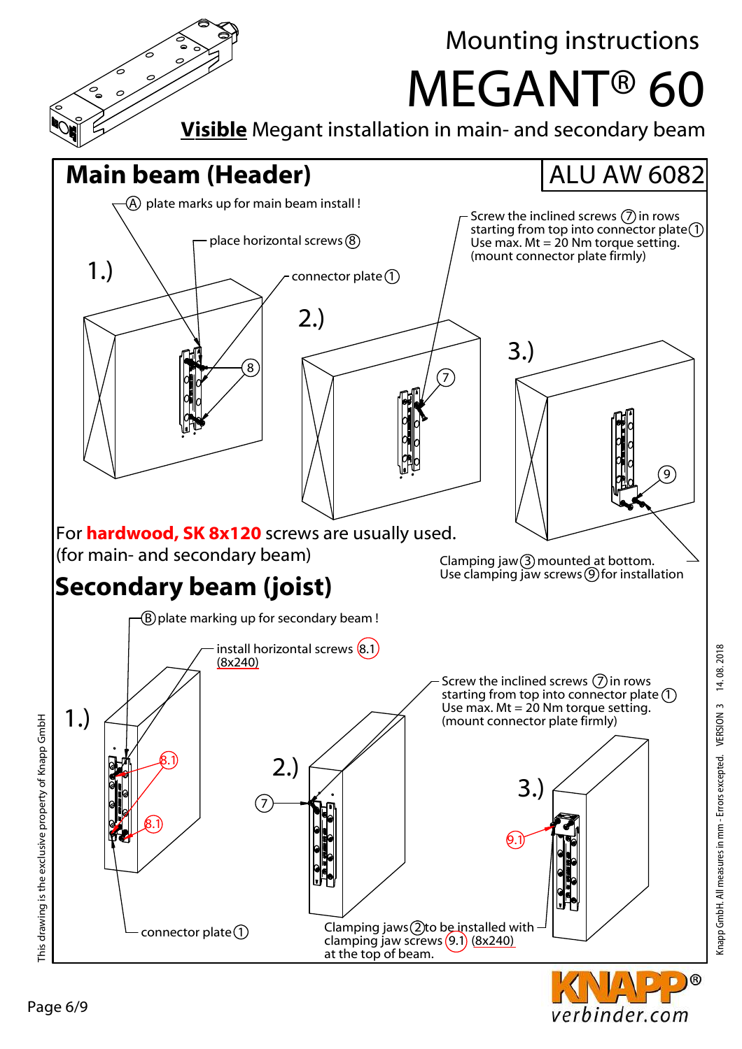

Knapp GmbH. All measures in mm - Errors excepted. VERSION 3 14. 08. 2018

verbinder.com

Page 6/9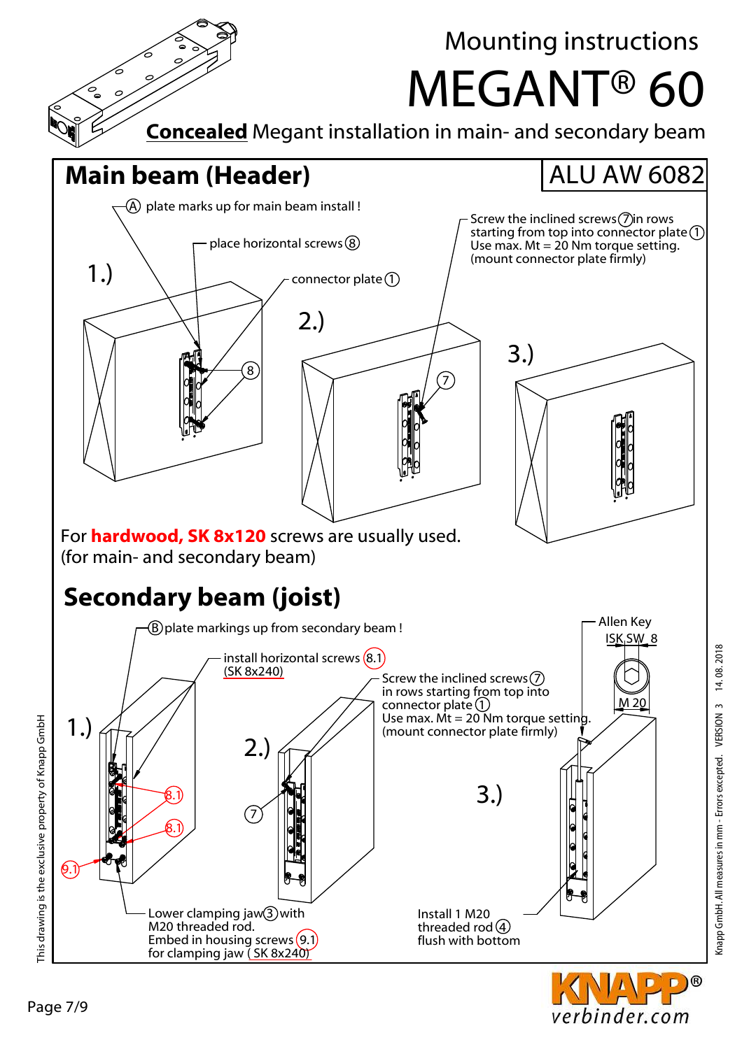

Knapp GmbH. All measures in mm - Errors excepted. VERSION 3 14. 08. 2018

 $\circledR$ 

verbinder.com

Page 7/9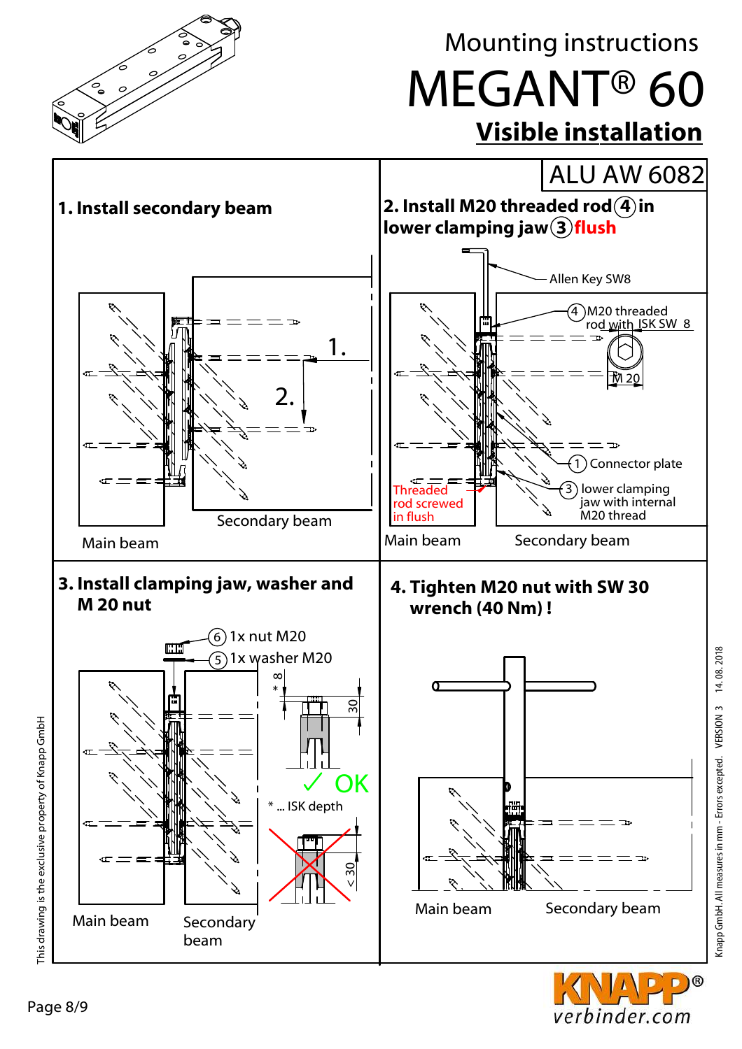

Knapp GmbH. All measures in mm - Errors excepted. VERSION 3 14.08.2018 Knapp GmbH. All measures in mm - Errors excepted. VERSION 3 14. 08. 2018